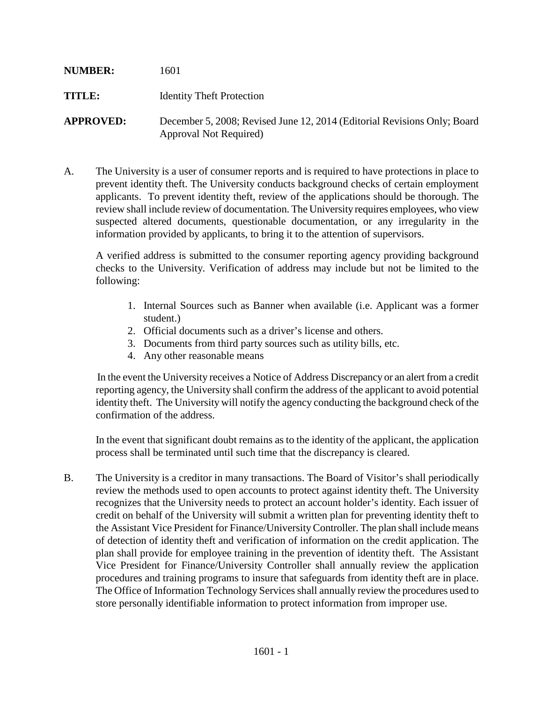| <b>NUMBER:</b>   | 1601                                                                                               |
|------------------|----------------------------------------------------------------------------------------------------|
| TITLE:           | <b>Identity Theft Protection</b>                                                                   |
| <b>APPROVED:</b> | December 5, 2008; Revised June 12, 2014 (Editorial Revisions Only; Board<br>Approval Not Required) |

A. The University is a user of consumer reports and is required to have protections in place to prevent identity theft. The University conducts background checks of certain employment applicants. To prevent identity theft, review of the applications should be thorough. The review shall include review of documentation. The University requires employees, who view suspected altered documents, questionable documentation, or any irregularity in the information provided by applicants, to bring it to the attention of supervisors.

A verified address is submitted to the consumer reporting agency providing background checks to the University. Verification of address may include but not be limited to the following:

- 1. Internal Sources such as Banner when available (i.e. Applicant was a former student.)
- 2. Official documents such as a driver's license and others.
- 3. Documents from third party sources such as utility bills, etc.
- 4. Any other reasonable means

In the event the University receives a Notice of Address Discrepancy or an alert from a credit reporting agency, the University shall confirm the address of the applicant to avoid potential identity theft. The University will notify the agency conducting the background check of the confirmation of the address.

In the event that significant doubt remains as to the identity of the applicant, the application process shall be terminated until such time that the discrepancy is cleared.

B. The University is a creditor in many transactions. The Board of Visitor's shall periodically review the methods used to open accounts to protect against identity theft. The University recognizes that the University needs to protect an account holder's identity. Each issuer of credit on behalf of the University will submit a written plan for preventing identity theft to the Assistant Vice President for Finance/University Controller. The plan shall include means of detection of identity theft and verification of information on the credit application. The plan shall provide for employee training in the prevention of identity theft. The Assistant Vice President for Finance/University Controller shall annually review the application procedures and training programs to insure that safeguards from identity theft are in place. The Office of Information Technology Services shall annually review the procedures used to store personally identifiable information to protect information from improper use.